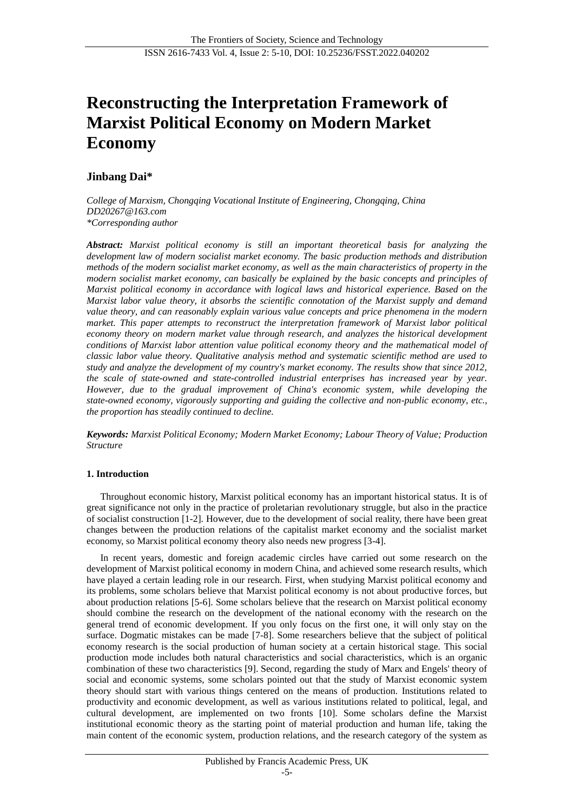# **Reconstructing the Interpretation Framework of Marxist Political Economy on Modern Market Economy**

# **Jinbang Dai\***

*College of Marxism, Chongqing Vocational Institute of Engineering, Chongqing, China DD20267@163.com \*Corresponding author*

*Abstract: Marxist political economy is still an important theoretical basis for analyzing the development law of modern socialist market economy. The basic production methods and distribution methods of the modern socialist market economy, as well as the main characteristics of property in the modern socialist market economy, can basically be explained by the basic concepts and principles of Marxist political economy in accordance with logical laws and historical experience. Based on the Marxist labor value theory, it absorbs the scientific connotation of the Marxist supply and demand value theory, and can reasonably explain various value concepts and price phenomena in the modern market. This paper attempts to reconstruct the interpretation framework of Marxist labor political economy theory on modern market value through research, and analyzes the historical development conditions of Marxist labor attention value political economy theory and the mathematical model of classic labor value theory. Qualitative analysis method and systematic scientific method are used to study and analyze the development of my country's market economy. The results show that since 2012, the scale of state-owned and state-controlled industrial enterprises has increased year by year. However, due to the gradual improvement of China's economic system, while developing the state-owned economy, vigorously supporting and guiding the collective and non-public economy, etc., the proportion has steadily continued to decline.*

*Keywords: Marxist Political Economy; Modern Market Economy; Labour Theory of Value; Production Structure*

# **1. Introduction**

Throughout economic history, Marxist political economy has an important historical status. It is of great significance not only in the practice of proletarian revolutionary struggle, but also in the practice of socialist construction [1-2]. However, due to the development of social reality, there have been great changes between the production relations of the capitalist market economy and the socialist market economy, so Marxist political economy theory also needs new progress [3-4].

In recent years, domestic and foreign academic circles have carried out some research on the development of Marxist political economy in modern China, and achieved some research results, which have played a certain leading role in our research. First, when studying Marxist political economy and its problems, some scholars believe that Marxist political economy is not about productive forces, but about production relations [5-6]. Some scholars believe that the research on Marxist political economy should combine the research on the development of the national economy with the research on the general trend of economic development. If you only focus on the first one, it will only stay on the surface. Dogmatic mistakes can be made [7-8]. Some researchers believe that the subject of political economy research is the social production of human society at a certain historical stage. This social production mode includes both natural characteristics and social characteristics, which is an organic combination of these two characteristics [9]. Second, regarding the study of Marx and Engels' theory of social and economic systems, some scholars pointed out that the study of Marxist economic system theory should start with various things centered on the means of production. Institutions related to productivity and economic development, as well as various institutions related to political, legal, and cultural development, are implemented on two fronts [10]. Some scholars define the Marxist institutional economic theory as the starting point of material production and human life, taking the main content of the economic system, production relations, and the research category of the system as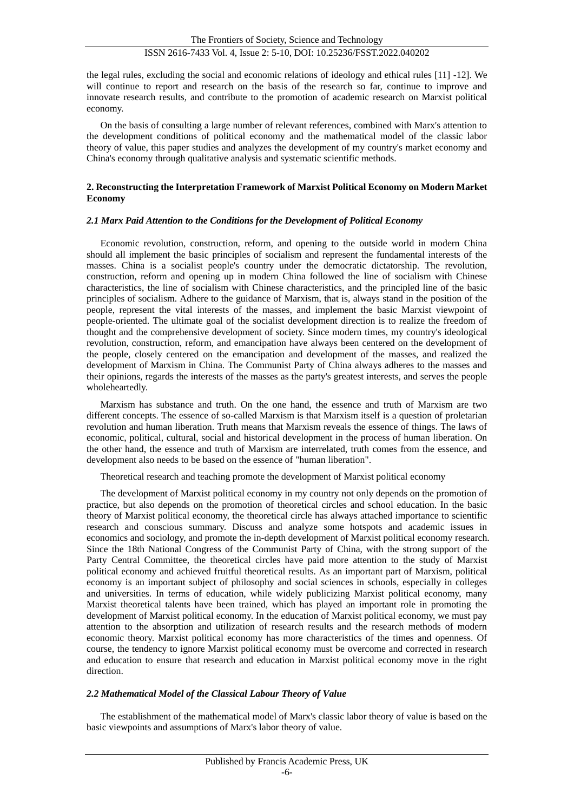the legal rules, excluding the social and economic relations of ideology and ethical rules [11] -12]. We will continue to report and research on the basis of the research so far, continue to improve and innovate research results, and contribute to the promotion of academic research on Marxist political economy.

On the basis of consulting a large number of relevant references, combined with Marx's attention to the development conditions of political economy and the mathematical model of the classic labor theory of value, this paper studies and analyzes the development of my country's market economy and China's economy through qualitative analysis and systematic scientific methods.

## **2. Reconstructing the Interpretation Framework of Marxist Political Economy on Modern Market Economy**

#### *2.1 Marx Paid Attention to the Conditions for the Development of Political Economy*

Economic revolution, construction, reform, and opening to the outside world in modern China should all implement the basic principles of socialism and represent the fundamental interests of the masses. China is a socialist people's country under the democratic dictatorship. The revolution, construction, reform and opening up in modern China followed the line of socialism with Chinese characteristics, the line of socialism with Chinese characteristics, and the principled line of the basic principles of socialism. Adhere to the guidance of Marxism, that is, always stand in the position of the people, represent the vital interests of the masses, and implement the basic Marxist viewpoint of people-oriented. The ultimate goal of the socialist development direction is to realize the freedom of thought and the comprehensive development of society. Since modern times, my country's ideological revolution, construction, reform, and emancipation have always been centered on the development of the people, closely centered on the emancipation and development of the masses, and realized the development of Marxism in China. The Communist Party of China always adheres to the masses and their opinions, regards the interests of the masses as the party's greatest interests, and serves the people wholeheartedly.

Marxism has substance and truth. On the one hand, the essence and truth of Marxism are two different concepts. The essence of so-called Marxism is that Marxism itself is a question of proletarian revolution and human liberation. Truth means that Marxism reveals the essence of things. The laws of economic, political, cultural, social and historical development in the process of human liberation. On the other hand, the essence and truth of Marxism are interrelated, truth comes from the essence, and development also needs to be based on the essence of "human liberation".

Theoretical research and teaching promote the development of Marxist political economy

The development of Marxist political economy in my country not only depends on the promotion of practice, but also depends on the promotion of theoretical circles and school education. In the basic theory of Marxist political economy, the theoretical circle has always attached importance to scientific research and conscious summary. Discuss and analyze some hotspots and academic issues in economics and sociology, and promote the in-depth development of Marxist political economy research. Since the 18th National Congress of the Communist Party of China, with the strong support of the Party Central Committee, the theoretical circles have paid more attention to the study of Marxist political economy and achieved fruitful theoretical results. As an important part of Marxism, political economy is an important subject of philosophy and social sciences in schools, especially in colleges and universities. In terms of education, while widely publicizing Marxist political economy, many Marxist theoretical talents have been trained, which has played an important role in promoting the development of Marxist political economy. In the education of Marxist political economy, we must pay attention to the absorption and utilization of research results and the research methods of modern economic theory. Marxist political economy has more characteristics of the times and openness. Of course, the tendency to ignore Marxist political economy must be overcome and corrected in research and education to ensure that research and education in Marxist political economy move in the right direction.

## *2.2 Mathematical Model of the Classical Labour Theory of Value*

The establishment of the mathematical model of Marx's classic labor theory of value is based on the basic viewpoints and assumptions of Marx's labor theory of value.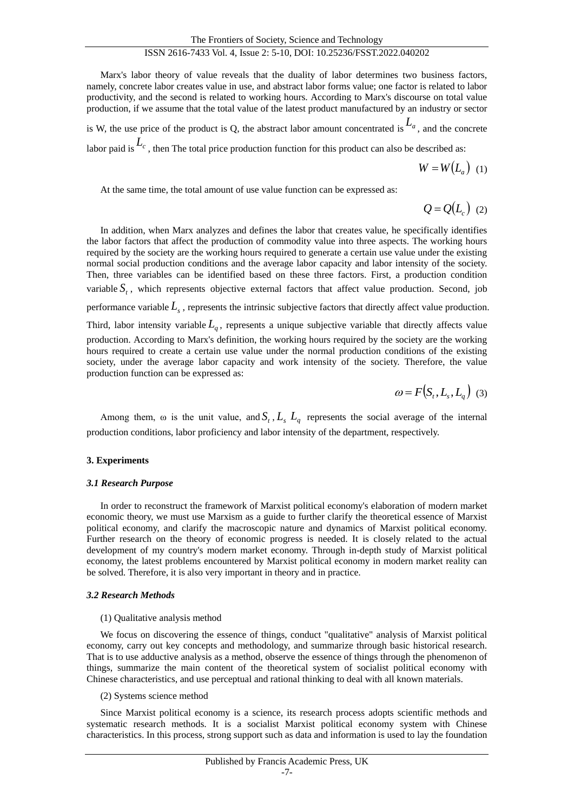# ISSN 2616-7433 Vol. 4, Issue 2: 5-10, DOI: 10.25236/FSST.2022.040202

Marx's labor theory of value reveals that the duality of labor determines two business factors, namely, concrete labor creates value in use, and abstract labor forms value; one factor is related to labor productivity, and the second is related to working hours. According to Marx's discourse on total value production, if we assume that the total value of the latest product manufactured by an industry or sector is W, the use price of the product is Q, the abstract labor amount concentrated is  $L_a$ , and the concrete labor paid is  $L_c$ , then The total price production function for this product can also be described as:

 $W = W(L_a)$  (1)

At the same time, the total amount of use value function can be expressed as:

$$
Q = Q(L_c) \tag{2}
$$

In addition, when Marx analyzes and defines the labor that creates value, he specifically identifies the labor factors that affect the production of commodity value into three aspects. The working hours required by the society are the working hours required to generate a certain use value under the existing normal social production conditions and the average labor capacity and labor intensity of the society. Then, three variables can be identified based on these three factors. First, a production condition variable  $S<sub>t</sub>$ , which represents objective external factors that affect value production. Second, job performance variable  $L<sub>s</sub>$ , represents the intrinsic subjective factors that directly affect value production. Third, labor intensity variable *Lq* , represents a unique subjective variable that directly affects value production. According to Marx's definition, the working hours required by the society are the working hours required to create a certain use value under the normal production conditions of the existing society, under the average labor capacity and work intensity of the society. Therefore, the value production function can be expressed as:

$$
\omega = F(S_t, L_s, L_q) \tag{3}
$$

Among them,  $\omega$  is the unit value, and  $S_t$ ,  $L_s$ ,  $L_q$  represents the social average of the internal production conditions, labor proficiency and labor intensity of the department, respectively.

#### **3. Experiments**

#### *3.1 Research Purpose*

In order to reconstruct the framework of Marxist political economy's elaboration of modern market economic theory, we must use Marxism as a guide to further clarify the theoretical essence of Marxist political economy, and clarify the macroscopic nature and dynamics of Marxist political economy. Further research on the theory of economic progress is needed. It is closely related to the actual development of my country's modern market economy. Through in-depth study of Marxist political economy, the latest problems encountered by Marxist political economy in modern market reality can be solved. Therefore, it is also very important in theory and in practice.

## *3.2 Research Methods*

#### (1) Qualitative analysis method

We focus on discovering the essence of things, conduct "qualitative" analysis of Marxist political economy, carry out key concepts and methodology, and summarize through basic historical research. That is to use adductive analysis as a method, observe the essence of things through the phenomenon of things, summarize the main content of the theoretical system of socialist political economy with Chinese characteristics, and use perceptual and rational thinking to deal with all known materials.

#### (2) Systems science method

Since Marxist political economy is a science, its research process adopts scientific methods and systematic research methods. It is a socialist Marxist political economy system with Chinese characteristics. In this process, strong support such as data and information is used to lay the foundation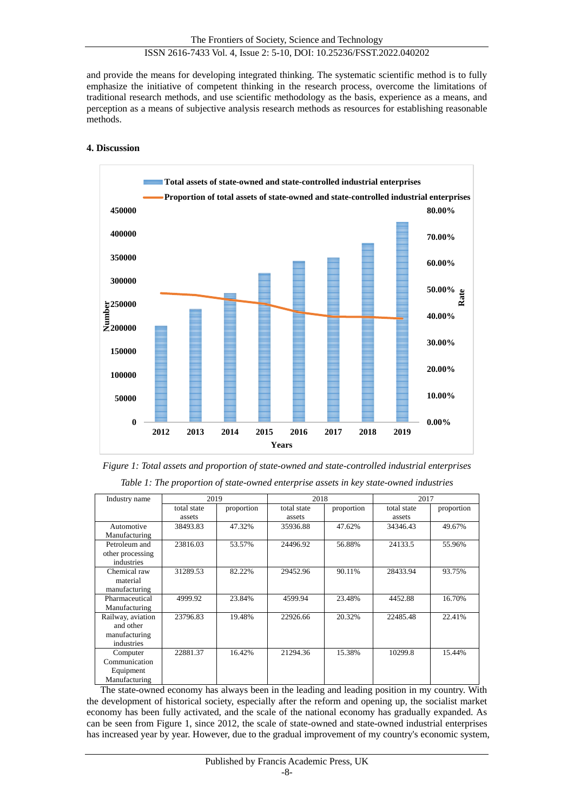and provide the means for developing integrated thinking. The systematic scientific method is to fully emphasize the initiative of competent thinking in the research process, overcome the limitations of traditional research methods, and use scientific methodology as the basis, experience as a means, and perception as a means of subjective analysis research methods as resources for establishing reasonable methods.

# **4. Discussion**



*Figure 1: Total assets and proportion of state-owned and state-controlled industrial enterprises Table 1: The proportion of state-owned enterprise assets in key state-owned industries*

| Industry name                                                 | 2019        |            | 2018        |            | 2017        |            |
|---------------------------------------------------------------|-------------|------------|-------------|------------|-------------|------------|
|                                                               | total state | proportion | total state | proportion | total state | proportion |
|                                                               | assets      |            | assets      |            | assets      |            |
| Automotive<br>Manufacturing                                   | 38493.83    | 47.32%     | 35936.88    | 47.62%     | 34346.43    | 49.67%     |
| Petroleum and<br>other processing<br>industries               | 23816.03    | 53.57%     | 24496.92    | 56.88%     | 24133.5     | 55.96%     |
| Chemical raw<br>material<br>manufacturing                     | 31289.53    | 82.22%     | 29452.96    | 90.11%     | 28433.94    | 93.75%     |
| Pharmaceutical<br>Manufacturing                               | 4999.92     | 23.84%     | 4599.94     | 23.48%     | 4452.88     | 16.70%     |
| Railway, aviation<br>and other<br>manufacturing<br>industries | 23796.83    | 19.48%     | 22926.66    | 20.32%     | 22485.48    | 22.41%     |
| Computer<br>Communication<br>Equipment<br>Manufacturing       | 22881.37    | 16.42%     | 21294.36    | 15.38%     | 10299.8     | 15.44%     |

The state-owned economy has always been in the leading and leading position in my country. With the development of historical society, especially after the reform and opening up, the socialist market economy has been fully activated, and the scale of the national economy has gradually expanded. As can be seen from Figure 1, since 2012, the scale of state-owned and state-owned industrial enterprises has increased year by year. However, due to the gradual improvement of my country's economic system,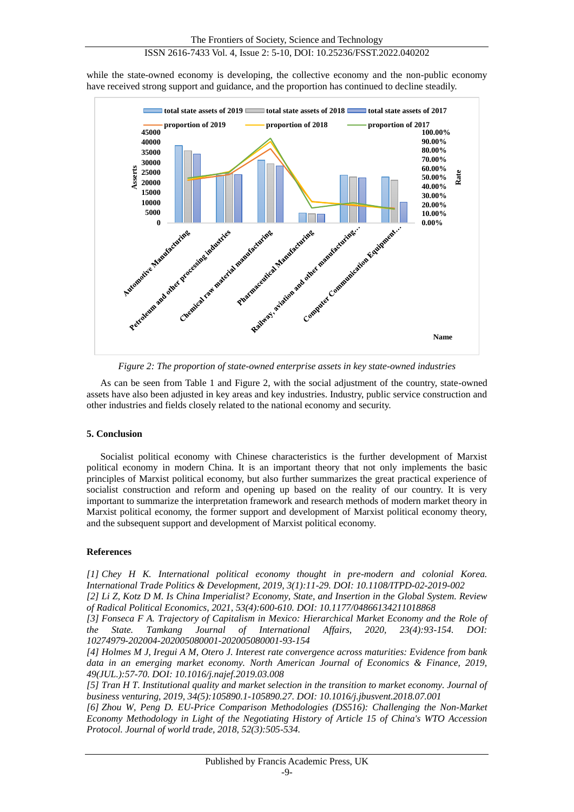while the state-owned economy is developing, the collective economy and the non-public economy have received strong support and guidance, and the proportion has continued to decline steadily.



*Figure 2: The proportion of state-owned enterprise assets in key state-owned industries*

As can be seen from Table 1 and Figure 2, with the social adjustment of the country, state-owned assets have also been adjusted in key areas and key industries. Industry, public service construction and other industries and fields closely related to the national economy and security.

# **5. Conclusion**

Socialist political economy with Chinese characteristics is the further development of Marxist political economy in modern China. It is an important theory that not only implements the basic principles of Marxist political economy, but also further summarizes the great practical experience of socialist construction and reform and opening up based on the reality of our country. It is very important to summarize the interpretation framework and research methods of modern market theory in Marxist political economy, the former support and development of Marxist political economy theory, and the subsequent support and development of Marxist political economy.

# **References**

*[1] Chey H K. International political economy thought in pre-modern and colonial Korea. International Trade Politics & Development, 2019, 3(1):11-29. DOI: 10.1108/ITPD-02-2019-002*

*[2] Li Z, Kotz D M. Is China Imperialist? Economy, State, and Insertion in the Global System. Review of Radical Political Economics, 2021, 53(4):600-610. DOI: 10.1177/04866134211018868*

*[3] Fonseca F A. Trajectory of Capitalism in Mexico: Hierarchical Market Economy and the Role of the State. Tamkang Journal of International Affairs, 2020, 23(4):93-154. DOI: 10274979-202004-202005080001-202005080001-93-154*

*[4] Holmes M J, Iregui A M, Otero J. Interest rate convergence across maturities: Evidence from bank data in an emerging market economy. North American Journal of Economics & Finance, 2019, 49(JUL.):57-70. DOI: 10.1016/j.najef.2019.03.008*

*[5] Tran H T. Institutional quality and market selection in the transition to market economy. Journal of business venturing, 2019, 34(5):105890.1-105890.27. DOI: 10.1016/j.jbusvent.2018.07.001*

*[6] Zhou W, Peng D. EU-Price Comparison Methodologies (DS516): Challenging the Non-Market Economy Methodology in Light of the Negotiating History of Article 15 of China's WTO Accession Protocol. Journal of world trade, 2018, 52(3):505-534.*